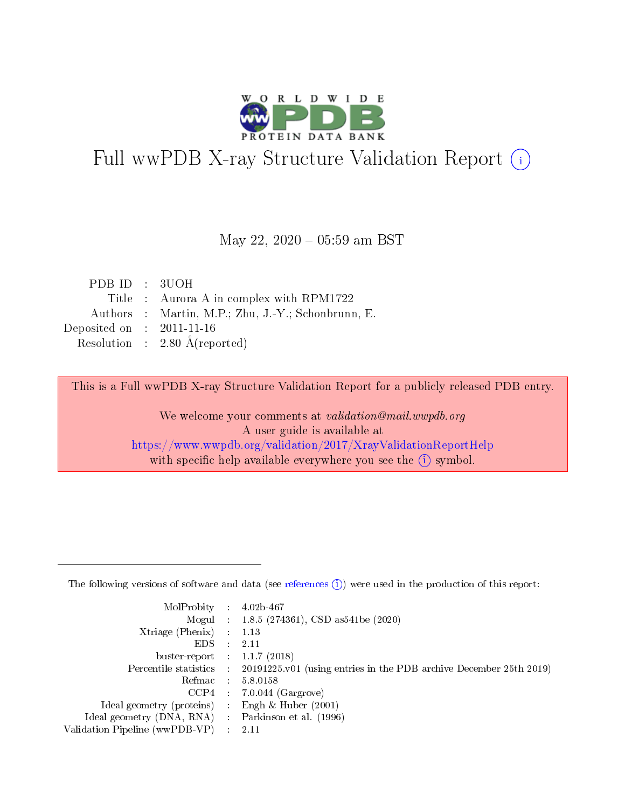

# Full wwPDB X-ray Structure Validation Report (i)

#### May 22,  $2020 - 05:59$  am BST

| PDB ID : 3UOH                        |                                                    |
|--------------------------------------|----------------------------------------------------|
|                                      | Title : Aurora A in complex with RPM1722           |
|                                      | Authors : Martin, M.P.; Zhu, J.-Y.; Schonbrunn, E. |
| Deposited on $\therefore$ 2011-11-16 |                                                    |
|                                      | Resolution : 2.80 $\AA$ (reported)                 |

This is a Full wwPDB X-ray Structure Validation Report for a publicly released PDB entry.

We welcome your comments at validation@mail.wwpdb.org A user guide is available at <https://www.wwpdb.org/validation/2017/XrayValidationReportHelp> with specific help available everywhere you see the  $(i)$  symbol.

The following versions of software and data (see [references](https://www.wwpdb.org/validation/2017/XrayValidationReportHelp#references)  $(1)$ ) were used in the production of this report:

| MolProbity :                   |               | $4.02b - 467$                                                               |
|--------------------------------|---------------|-----------------------------------------------------------------------------|
|                                |               | Mogul : $1.8.5$ (274361), CSD as 541be (2020)                               |
| $X$ triage (Phenix) :          |               | 1.13                                                                        |
| EDS.                           |               | 2.11                                                                        |
| buster-report : $1.1.7$ (2018) |               |                                                                             |
| Percentile statistics :        |               | $20191225 \text{v}01$ (using entries in the PDB archive December 25th 2019) |
| Refmac :                       |               | 5.8.0158                                                                    |
| $CCP4$ :                       |               | $7.0.044$ (Gargrove)                                                        |
| Ideal geometry (proteins) :    |               | Engh $\&$ Huber (2001)                                                      |
| Ideal geometry (DNA, RNA) :    |               | Parkinson et al. (1996)                                                     |
| Validation Pipeline (wwPDB-VP) | $\mathcal{L}$ | 2.11                                                                        |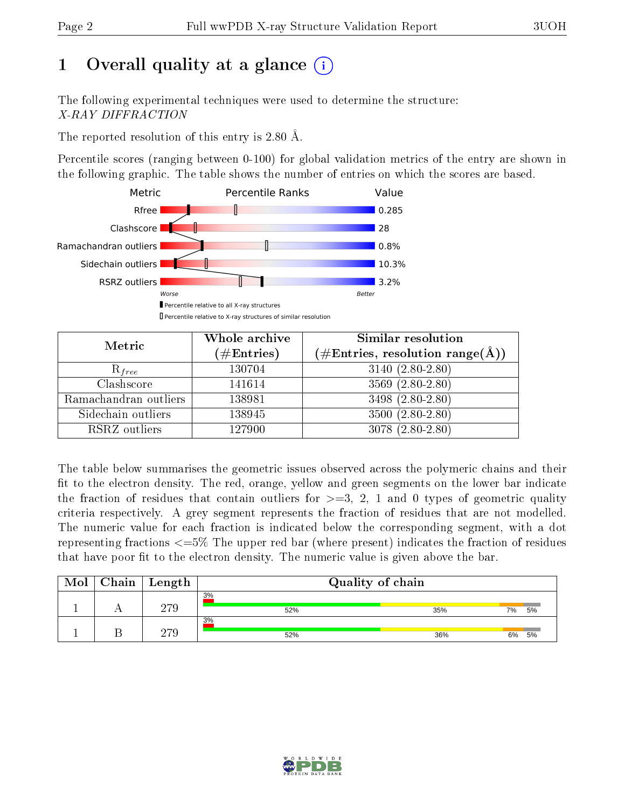# 1 [O](https://www.wwpdb.org/validation/2017/XrayValidationReportHelp#overall_quality)verall quality at a glance  $(i)$

The following experimental techniques were used to determine the structure: X-RAY DIFFRACTION

The reported resolution of this entry is 2.80 Å.

Percentile scores (ranging between 0-100) for global validation metrics of the entry are shown in the following graphic. The table shows the number of entries on which the scores are based.



| Metric                | Whole archive<br>$(\#\text{Entries})$ | Similar resolution<br>$(\#\text{Entries},\,\text{resolution}\,\,\text{range}(\textup{\AA}))$ |
|-----------------------|---------------------------------------|----------------------------------------------------------------------------------------------|
| $R_{free}$            | 130704                                | $3140(2.80-2.80)$                                                                            |
| Clashscore            | 141614                                | 3569 (2.80-2.80)                                                                             |
| Ramachandran outliers | 138981                                | 3498 (2.80-2.80)                                                                             |
| Sidechain outliers    | 138945                                | $3500 (2.80 - 2.80)$                                                                         |
| RSRZ outliers         | 127900                                | $3078(2.80-2.80)$                                                                            |

The table below summarises the geometric issues observed across the polymeric chains and their fit to the electron density. The red, orange, yellow and green segments on the lower bar indicate the fraction of residues that contain outliers for  $>=3, 2, 1$  and 0 types of geometric quality criteria respectively. A grey segment represents the fraction of residues that are not modelled. The numeric value for each fraction is indicated below the corresponding segment, with a dot representing fractions  $\epsilon=5\%$  The upper red bar (where present) indicates the fraction of residues that have poor fit to the electron density. The numeric value is given above the bar.

| Mol | Chain | Length | Quality of chain |     |    |    |  |  |  |
|-----|-------|--------|------------------|-----|----|----|--|--|--|
|     |       | 279    | 3%<br>52%        | 35% | 7% | 5% |  |  |  |
|     |       | 279    | 3%<br>52%        | 36% | 6% | 5% |  |  |  |

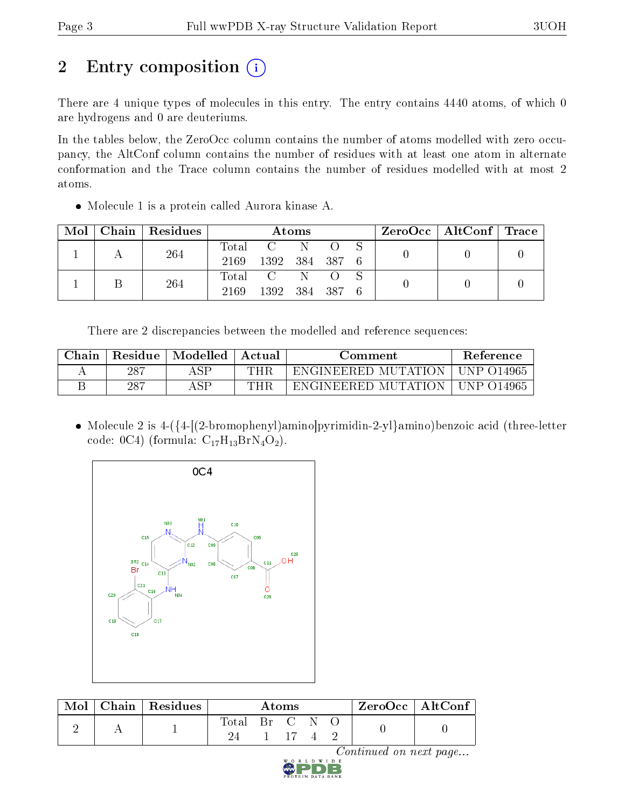# 2 Entry composition (i)

There are 4 unique types of molecules in this entry. The entry contains 4440 atoms, of which 0 are hydrogens and 0 are deuteriums.

In the tables below, the ZeroOcc column contains the number of atoms modelled with zero occupancy, the AltConf column contains the number of residues with at least one atom in alternate conformation and the Trace column contains the number of residues modelled with at most 2 atoms.

Molecule 1 is a protein called Aurora kinase A.

| Mol | $\vert$ Chain $\vert$ Residues |       |                | Atoms |  | $\text{ZeroOcc} \mid \text{AltConf} \mid \text{Trace}$ |  |  |
|-----|--------------------------------|-------|----------------|-------|--|--------------------------------------------------------|--|--|
|     | 264                            | Total | $C = N$        |       |  |                                                        |  |  |
|     |                                | 2169  | 1392 384 387 6 |       |  |                                                        |  |  |
|     | 264                            |       | Total C N O S  |       |  |                                                        |  |  |
|     |                                | 2169  | 1392 384 387 6 |       |  |                                                        |  |  |

There are 2 discrepancies between the modelled and reference sequences:

| Chain | Residue | Modelled | Actual | Comment             | <b>Reference</b> |
|-------|---------|----------|--------|---------------------|------------------|
|       | 287     | ASP      | THR    | ENGINEERED MUTATION | - UNP 014965     |
|       | 287     | A S D    | THR    | ENGINEERED MUTATION | - UNP 014965     |

 Molecule 2 is 4-({4-[(2-bromophenyl)amino]pyrimidin-2-yl}amino)benzoic acid (three-letter code: 0C4) (formula:  $C_{17}H_{13}BrN_4O_2$ ).



| Mol | $\blacksquare$ Chain $\blacksquare$ Residues | Atoms       |  |                            | $ZeroOcc \mid AltConf \mid$ |  |  |  |
|-----|----------------------------------------------|-------------|--|----------------------------|-----------------------------|--|--|--|
|     |                                              | $\rm Total$ |  | $\text{Br} \quad \text{C}$ |                             |  |  |  |

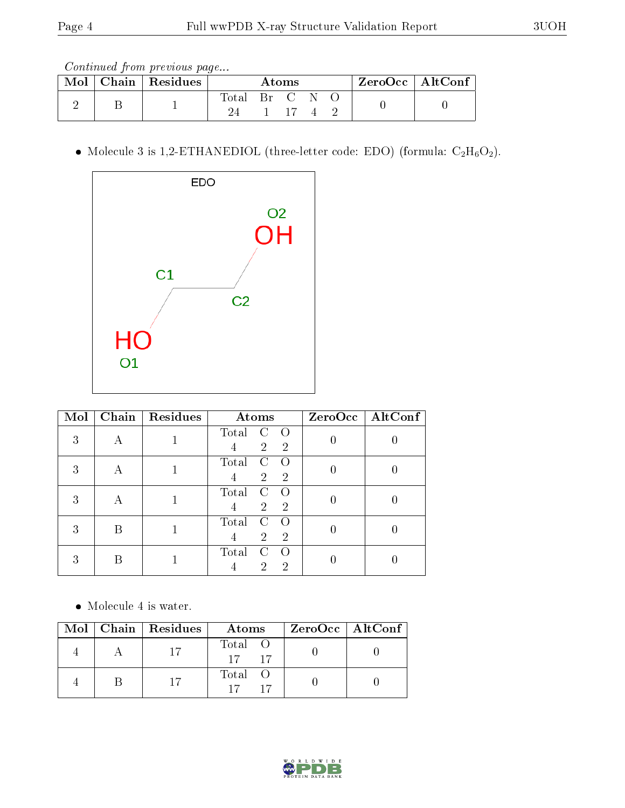| Mol | Chain   Residues | Atoms |  |               | $ZeroOcc \mid AltConf \mid$ |  |  |  |
|-----|------------------|-------|--|---------------|-----------------------------|--|--|--|
|     |                  | Total |  | Br C N<br>-17 |                             |  |  |  |

 $\bullet$  Molecule 3 is 1,2-ETHANEDIOL (three-letter code: EDO) (formula:  $\rm{C_2H_6O_2}).$ 



| Mol | Chain | Residues | Atoms                                                                  | $ZeroOcc \   \ AltConf$ |
|-----|-------|----------|------------------------------------------------------------------------|-------------------------|
| 3   |       |          | Total<br>C<br>$\left($<br>$\overline{2}$<br>$\overline{2}$             |                         |
| 3   | А     |          | $\mathcal{C}$<br>Total<br>$\Omega$<br>$\overline{2}$<br>$\overline{2}$ |                         |
| 3   | А     |          | Total<br>C<br>$\left( \right)$<br>$\overline{2}$<br>$\overline{2}$     |                         |
| 3   | В     |          | Total<br>C<br>$\bigcap$<br>$\overline{2}$<br>$\overline{2}$            |                         |
| 3   | В     |          | Total<br>C<br>$\bigcap$<br>2<br>2                                      |                         |

• Molecule 4 is water.

|  | Mol   Chain   Residues | Atoms                         | ZeroOcc   AltConf |
|--|------------------------|-------------------------------|-------------------|
|  |                        | Total O<br>$\frac{15}{17}$ 17 |                   |
|  |                        | Total O                       |                   |

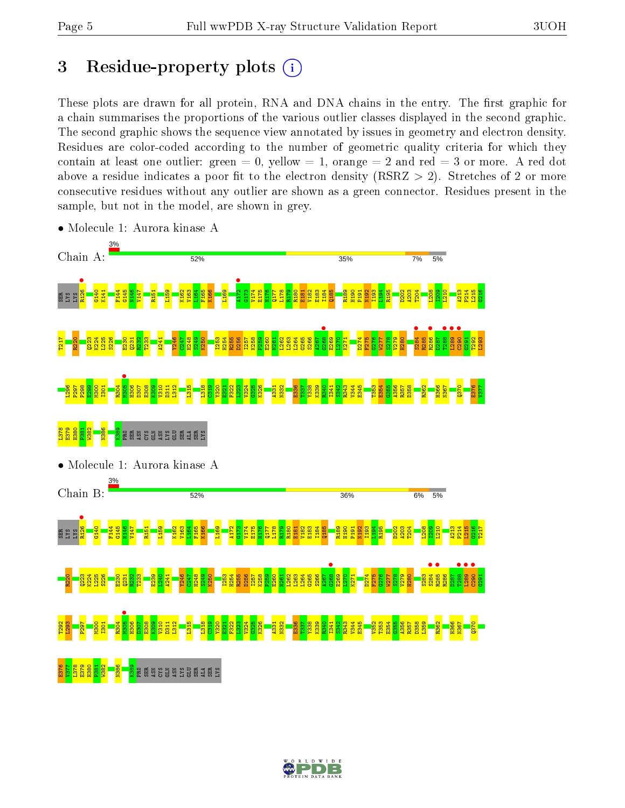# 3 Residue-property plots  $(i)$

These plots are drawn for all protein, RNA and DNA chains in the entry. The first graphic for a chain summarises the proportions of the various outlier classes displayed in the second graphic. The second graphic shows the sequence view annotated by issues in geometry and electron density. Residues are color-coded according to the number of geometric quality criteria for which they contain at least one outlier: green  $= 0$ , yellow  $= 1$ , orange  $= 2$  and red  $= 3$  or more. A red dot above a residue indicates a poor fit to the electron density (RSRZ  $> 2$ ). Stretches of 2 or more consecutive residues without any outlier are shown as a green connector. Residues present in the sample, but not in the model, are shown in grey.



• Molecule 1: Aurora kinase A

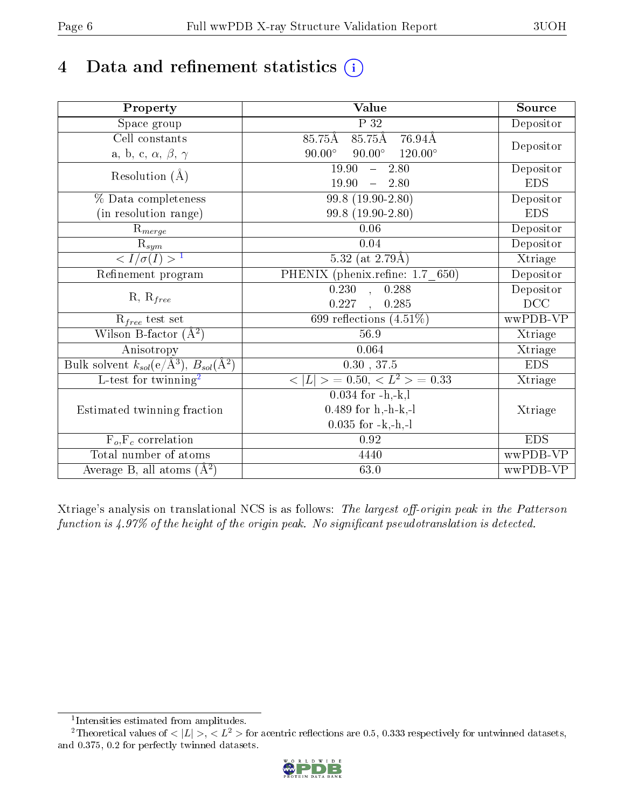# 4 Data and refinement statistics  $(i)$

| Property                                                         | Value                                               | Source     |
|------------------------------------------------------------------|-----------------------------------------------------|------------|
| Space group                                                      | $\overline{P}32$                                    | Depositor  |
| $\overline{\text{Cell}}$ constants                               | $85.75$ Å<br>$85.75\text{\AA}$<br>$76.94\text{\AA}$ |            |
| a, b, c, $\alpha$ , $\beta$ , $\gamma$                           | $90.00^\circ$<br>$90.00^\circ$<br>$120.00^\circ$    | Depositor  |
| Resolution $(A)$                                                 | 19.90<br>2.80<br>$\frac{1}{2}$                      | Depositor  |
|                                                                  | 19.90<br>2.80                                       | <b>EDS</b> |
| % Data completeness                                              | $99.8(19.90-2.80)$                                  | Depositor  |
| (in resolution range)                                            | 99.8 (19.90-2.80)                                   | <b>EDS</b> |
| $R_{merge}$                                                      | 0.06                                                | Depositor  |
| $\mathrm{R}_{sym}$                                               | 0.04                                                | Depositor  |
| $\langle I/\sigma(I) \rangle^{-1}$                               | 5.32 (at $2.79\text{\AA}$ )                         | Xtriage    |
| Refinement program                                               | PHENIX (phenix.refine: 1.7_650)                     | Depositor  |
| $R, R_{free}$                                                    | $\overline{0.230}$ , $\overline{0.288}$             | Depositor  |
|                                                                  | 0.227<br>0.285<br>$\sim$ 400                        | DCC        |
| $R_{free}$ test set                                              | 699 reflections $(4.51\%)$                          | wwPDB-VP   |
| Wilson B-factor $(A^2)$                                          | 56.9                                                | Xtriage    |
| Anisotropy                                                       | 0.064                                               | Xtriage    |
| Bulk solvent $k_{sol}(\text{e}/\text{A}^3), B_{sol}(\text{A}^2)$ | 0.30, 37.5                                          | <b>EDS</b> |
| L-test for twinning <sup>2</sup>                                 | $< L >$ = 0.50, $< L2$ > = 0.33                     | Xtriage    |
|                                                                  | $0.034$ for $-h,-k,l$                               |            |
| Estimated twinning fraction                                      | $0.489$ for h,-h-k,-l                               | Xtriage    |
|                                                                  | $0.035$ for $-k,-h,-l$                              |            |
| $\overline{F_o,F_c}$ correlation                                 | 0.92                                                | <b>EDS</b> |
| Total number of atoms                                            | 4440                                                | wwPDB-VP   |
| Average B, all atoms $(A^2)$                                     | 63.0                                                | wwPDB-VP   |

Xtriage's analysis on translational NCS is as follows: The largest off-origin peak in the Patterson function is  $4.97\%$  of the height of the origin peak. No significant pseudotranslation is detected.

<sup>&</sup>lt;sup>2</sup>Theoretical values of  $\langle |L| \rangle$ ,  $\langle L^2 \rangle$  for acentric reflections are 0.5, 0.333 respectively for untwinned datasets, and 0.375, 0.2 for perfectly twinned datasets.



<span id="page-5-1"></span><span id="page-5-0"></span><sup>1</sup> Intensities estimated from amplitudes.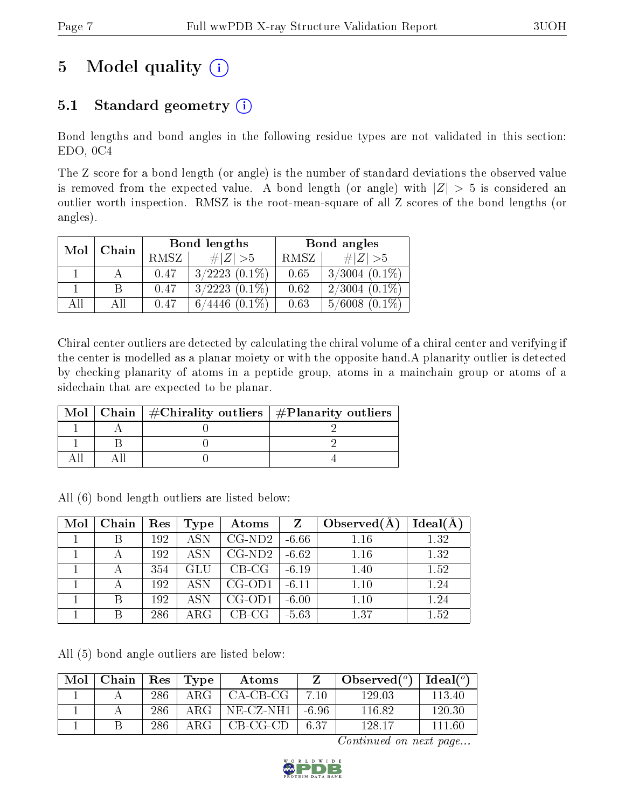# 5 Model quality  $(i)$

## 5.1 Standard geometry  $(i)$

Bond lengths and bond angles in the following residue types are not validated in this section: EDO, 0C4

The Z score for a bond length (or angle) is the number of standard deviations the observed value is removed from the expected value. A bond length (or angle) with  $|Z| > 5$  is considered an outlier worth inspection. RMSZ is the root-mean-square of all Z scores of the bond lengths (or angles).

| Mol | Chain |      | Bond lengths       | Bond angles |                    |  |
|-----|-------|------|--------------------|-------------|--------------------|--|
|     |       | RMSZ | $\# Z  > 5$        | RMSZ        | # $ Z  > 5$        |  |
|     |       | 0.47 | $3/2223$ $(0.1\%)$ | 0.65        | $3/3004$ $(0.1\%)$ |  |
|     |       | 0.47 | $3/2223$ $(0.1\%)$ | 0.62        | $2/3004$ $(0.1\%)$ |  |
| All | АH    | 0.47 | $6/4446$ $(0.1\%)$ | 0.63        | $5/6008$ $(0.1\%)$ |  |

Chiral center outliers are detected by calculating the chiral volume of a chiral center and verifying if the center is modelled as a planar moiety or with the opposite hand.A planarity outlier is detected by checking planarity of atoms in a peptide group, atoms in a mainchain group or atoms of a sidechain that are expected to be planar.

|  | Mol   Chain   $\#\text{Chirality outliers}$   $\#\text{Planarity outliers}$ |
|--|-----------------------------------------------------------------------------|
|  |                                                                             |
|  |                                                                             |
|  |                                                                             |

All (6) bond length outliers are listed below:

| Mol | Chain | Res | Type       | Atoms    |         | Observed $(A)$ | Ideal(A) |
|-----|-------|-----|------------|----------|---------|----------------|----------|
|     |       | 192 | <b>ASN</b> | CG-ND2   | $-6.66$ | 1.16           | 1.32     |
|     |       | 192 | <b>ASN</b> | $CG-ND2$ | $-6.62$ | 1.16           | 1.32     |
|     |       | 354 | GLU        | $CB-CG$  | $-6.19$ | 1.40           | 1.52     |
|     |       | 192 | <b>ASN</b> | $CG-OD1$ | $-6.11$ | 1.10           | 1.24     |
|     | B     | 192 | <b>ASN</b> | $CG-OD1$ | $-6.00$ | 1.10           | 1.24     |
|     | В     | 286 | $\rm{ARG}$ | $CB-CG$  | $-5.63$ | 1.37           | 1.52     |

All (5) bond angle outliers are listed below:

| Mol | Chain | Res | Type | Atoms       |       | Observed $(°)$ | Ideal $(^\circ)$ |
|-----|-------|-----|------|-------------|-------|----------------|------------------|
|     |       | 286 | ARG  | CA-CB-CG    | 1∩ ′  | 129.03         | 113.40           |
|     |       | 286 | ARG  | $NE-CZ-NH1$ | -6.96 | 116.82         | 120.30           |
|     |       | 286 | ARG  | $CB-CG-CD$  | 6.37  | $-128$ 17      | 111.60           |

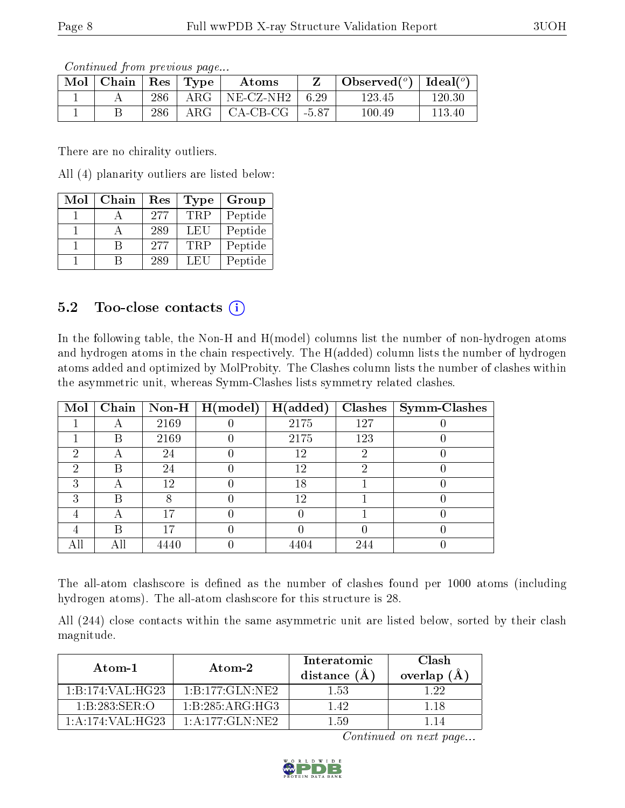Continued from previous page...

| $\text{Mol}$ | $\top$ Chain $\top$ Res $\top$ Type |     |               | Atoms     |         | Observed( $^{\circ}$ )   Ideal( $^{\circ}$ ) |        |
|--------------|-------------------------------------|-----|---------------|-----------|---------|----------------------------------------------|--------|
|              |                                     | 286 | ${\rm ARG}^-$ | NE-CZ-NH2 | 6.29    | 123.45                                       | 120.30 |
|              |                                     | 286 | $\rm{ARG}$    | CA-CB-CG  | $-5.87$ | $100.49\,$                                   | 113.40 |

There are no chirality outliers.

All (4) planarity outliers are listed below:

| Mol | Chain | Res | <b>Type</b> | Group   |
|-----|-------|-----|-------------|---------|
|     |       | 277 | <b>TRP</b>  | Peptide |
|     |       | 289 | LEU         | Peptide |
|     |       | 277 | TRP         | Peptide |
|     |       | 289 | LEU         | Peptide |

### 5.2 Too-close contacts  $(i)$

In the following table, the Non-H and H(model) columns list the number of non-hydrogen atoms and hydrogen atoms in the chain respectively. The H(added) column lists the number of hydrogen atoms added and optimized by MolProbity. The Clashes column lists the number of clashes within the asymmetric unit, whereas Symm-Clashes lists symmetry related clashes.

| Mol | Chain |      | Non-H $\mid$ H(model) | H(added) | Clashes | Symm-Clashes |
|-----|-------|------|-----------------------|----------|---------|--------------|
|     |       | 2169 |                       | 2175     | 127     |              |
|     | В     | 2169 |                       | 2175     | 123     |              |
| 2   | A     | 24   |                       | 12       | 2       |              |
| 2   | В     | 24   |                       | 12       | റ       |              |
| 3   | А     | 12   |                       | 18       |         |              |
| 3   | В     |      |                       | 12       |         |              |
|     | А     | 17   |                       |          |         |              |
|     | В     | 17   |                       |          |         |              |
| All |       | 4440 |                       | 4404     | 244     |              |

The all-atom clashscore is defined as the number of clashes found per 1000 atoms (including hydrogen atoms). The all-atom clashscore for this structure is 28.

All (244) close contacts within the same asymmetric unit are listed below, sorted by their clash magnitude.

| Atom-1                                     | Atom-2                                    | Interatomic<br>distance $(\AA)$ | <b>Clash</b><br>overlap $(\AA)$ |
|--------------------------------------------|-------------------------------------------|---------------------------------|---------------------------------|
| 1:B:174:VAL:HG23                           | $1 \cdot B \cdot 177 \cdot GLN \cdot NE2$ | 1.53                            | l 22                            |
| 1:B:283:SER:O                              | 1: B: 285: ARG: HG3                       | 142                             | 1 18                            |
| $1 \cdot A \cdot 174 \cdot VAI \cdot HG23$ | $1 \cdot A \cdot 177 \cdot GLM \cdot NE2$ | 159                             |                                 |

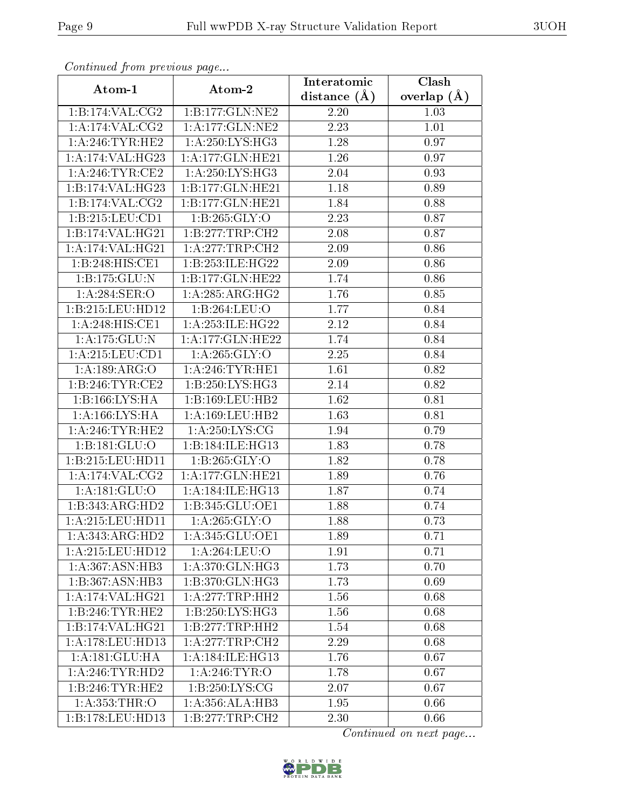| Continuea from previous page |                               | Interatomic    | Clash         |
|------------------------------|-------------------------------|----------------|---------------|
| Atom-1                       | Atom-2                        | distance $(A)$ | overlap $(A)$ |
| 1:B:174:VAL:CG2              | 1:B:177:GLN:NE2               | 2.20           | 1.03          |
| 1:A:174:VAL:CG2              | 1:A:177:GLN:NE2               | 2.23           | 1.01          |
| 1: A:246:TYR:HE2             | 1: A:250: LYS: HG3            | 1.28           | 0.97          |
| 1:A:174:VAL:HG23             | 1:A:177:GLN:HE21              | 1.26           | 0.97          |
| 1:A:246:TYR:CE2              | 1: A:250: LYS: HG3            | 2.04           | 0.93          |
| 1:B:174:VAL:HG23             | $1:B:177:GLN:H\overline{E21}$ | 1.18           | 0.89          |
| 1:B:174:VAL:CG2              | 1:B:177:GLN:HE21              | 1.84           | 0.88          |
| 1:B:215:LEU:CD1              | 1:B:265:GLY:O                 | 2.23           | 0.87          |
| 1:B:174:VAL:HG21             | 1:B:277:TRP:CH2               | 2.08           | 0.87          |
| 1:A:174:VAL:HG21             | 1:A:277:TRP:CH2               | 2.09           | 0.86          |
| 1:B:248:HIS:CE1              | 1:B:253:ILE:HG22              | 2.09           | 0.86          |
| 1:B:175:GLU:N                | 1:B:177:GLN:HE22              | 1.74           | 0.86          |
| 1: A:284: SER:O              | 1: A:285: ARG:HG2             | 1.76           | 0.85          |
| 1:B:215:LEU:HD12             | 1:B:264:LEU:O                 | 1.77           | 0.84          |
| 1:A:248:HIS:CE1              | 1: A:253: ILE: HG22           | 2.12           | 0.84          |
| 1: A: 175: GLU: N            | 1: A:177: GLN: HE22           | 1.74           | 0.84          |
| 1: A:215: LEU: CD1           | 1: A:265: GLY:O               | 2.25           | 0.84          |
| 1:A:189:ARG:O                | 1: A:246:TYR:HE1              | 1.61           | 0.82          |
| 1:B:246:TYR:CE2              | 1:B:250:LYS:HG3               | 2.14           | 0.82          |
| 1:B:166:LYS:HA               | 1:B:169:LEU:HB2               | 1.62           | 0.81          |
| 1: A: 166: LYS: HA           | 1: A: 169: LEU: HB2           | 1.63           | 0.81          |
| 1: A:246:TYR:HE2             | 1: A:250: LYS: CG             | 1.94           | 0.79          |
| 1:B:181:GLU:O                | 1:B:184:ILE:HG13              | 1.83           | 0.78          |
| 1:B:215:LEU:HD11             | 1:B:265:GLY:O                 | 1.82           | 0.78          |
| 1:A:174:VAL:CG2              | 1:A:177:GLN:HE21              | 1.89           | 0.76          |
| 1:A:181:GLU:O                | 1: A:184: ILE: HG13           | 1.87           | 0.74          |
| $1:B:343:ARG:H\overline{D2}$ | 1:B:345:GLU:OE1               | 1.88           | 0.74          |
| 1: A:215:LEU:HD11            | 1: A:265: GLY:O               | 1.88           | 0.73          |
| 1:A:343:ARG:HD2              | 1:A:345:GLU:OE1               | 1.89           | 0.71          |
| $1: A:215:$ LEU:HD12         | 1:A:264:LEU:O                 | 1.91           | 0.71          |
| 1: A: 367: ASN: HB3          | 1:A:370:GLN:HG3               | 1.73           | 0.70          |
| 1:B:367:ASN:HB3              | 1:B:370:GLN:HG3               | 1.73           | 0.69          |
| 1: A:174: VAL:HG21           | 1: A:277:TRP:HH2              | 1.56           | 0.68          |
| 1:B:246:TYR:HE2              | 1:B:250:LYS:HG3               | 1.56           | 0.68          |
| 1:B:174:VAL:HG21             | 1:B:277:TRP:HH2               | 1.54           | 0.68          |
| 1: A:178:LEU:HD13            | 1: A:277:TRP:CH2              | 2.29           | 0.68          |
| 1: A:181: GLU: HA            | 1: A:184: ILE: HG13           | 1.76           | 0.67          |
| 1: A:246:TYR:HD2             | 1:A:246:TYR:O                 | 1.78           | 0.67          |
| 1:B:246:TYR:HE2              | 1: B: 250: LYS: CG            | 2.07           | 0.67          |
| 1:A:353:THR:O                | 1:A:356:ALA:HB3               | 1.95           | 0.66          |
| 1:B:178:LEU:HD13             | 1:B:277:TRP:CH2               | 2.30           | 0.66          |

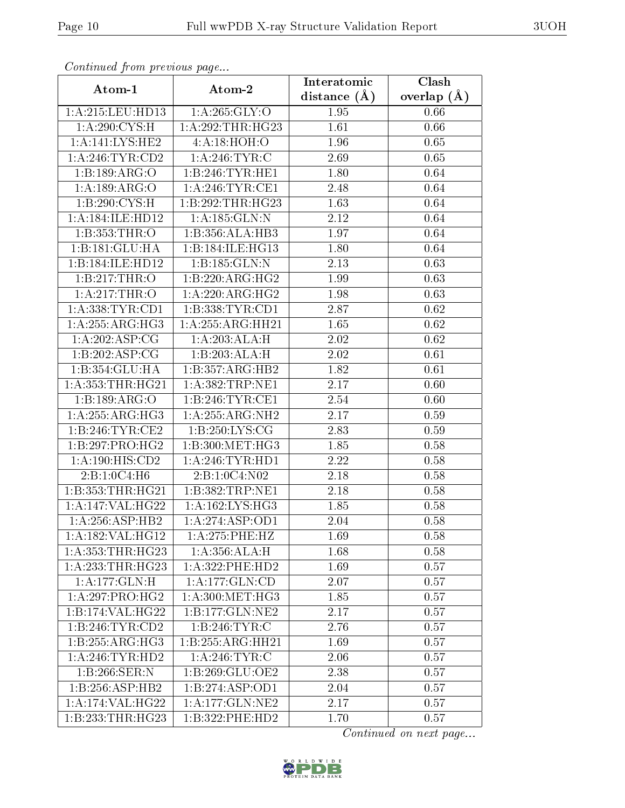| сонинией јтот ртеvиоиз раде |                    | Interatomic    | Clash         |
|-----------------------------|--------------------|----------------|---------------|
| Atom-1                      | Atom-2             | distance $(A)$ | overlap $(A)$ |
| 1:A:215:LEU:HD13            | 1: A:265: GLY:O    | 1.95           | 0.66          |
| 1: A:290:CYS:H              | 1:A:292:THR:HG23   | 1.61           | 0.66          |
| 1:A:141:LYS:HE2             | 4: A:18: HOH:O     | 1.96           | 0.65          |
| 1: A:246:TYR:CD2            | 1: A:246:TYR:C     | 2.69           | 0.65          |
| 1:B:189:ARG:O               | 1:B:246:TYR:HE1    | 1.80           | 0.64          |
| 1:A:189:ARG:O               | 1: A:246:TYR:CE1   | 2.48           | 0.64          |
| 1:B:290:CYS:H               | 1:B:292:THR:HG23   | 1.63           | 0.64          |
| 1:A:184:ILE:HD12            | 1:A:185:GLN:N      | 2.12           | 0.64          |
| 1:B:353:THR:O               | 1:B:356:ALA:HB3    | 1.97           | 0.64          |
| 1:B:181:GLU:HA              | 1:B:184:ILE:HG13   | 1.80           | 0.64          |
| 1:B:184:ILE:HD12            | 1:B:185:GLN:N      | 2.13           | 0.63          |
| 1:B:217:THR:O               | 1:B:220:ARG:HG2    | 1.99           | 0.63          |
| 1:A:217:THR:O               | 1:A:220:ARG:HG2    | 1.98           | 0.63          |
| 1: A: 338: TYR: CD1         | 1:B:338:TYR:CD1    | 2.87           | 0.62          |
| 1:A:255:ARG:HG3             | 1: A:255:ARG:HH21  | 1.65           | 0.62          |
| 1: A:202: ASP:CG            | 1:A:203:ALA:H      | 2.02           | 0.62          |
| 1:B:202:ASP:CG              | 1:B:203:ALA:H      | 2.02           | 0.61          |
| 1:B:354:GLU:HA              | 1:B:357:ARG:HB2    | 1.82           | 0.61          |
| 1: A: 353: THR: HG21        | 1:A:382:TRP:NE1    | 2.17           | 0.60          |
| 1:B:189:ARG:O               | 1: B:246: TYR: CE1 | 2.54           | 0.60          |
| 1: A:255: ARG: HG3          | 1:A:255:ARG:NH2    | 2.17           | 0.59          |
| 1:B:246:TYR:CE2             | 1:B:250:LYS:CG     | 2.83           | 0.59          |
| 1:B:297:PRO:HG2             | 1:B:300:MET:HG3    | 1.85           | 0.58          |
| 1:A:190:HIS:CD2             | 1: A:246:TYR:HD1   | 2.22           | 0.58          |
| 2:B:1:0C4:H6                | 2:B:1:0C4:N02      | 2.18           | 0.58          |
| 1:B:353:THR:HG21            | 1:B:382:TRP:NE1    | 2.18           | 0.58          |
| 1:A:147:VAL:HG22            | 1:A:162:LYS:HG3    | 1.85           | 0.58          |
| 1:A:256:ASP:HB2             | 1:A:274:ASP:OD1    | 2.04           | 0.58          |
| 1:A:182:VAL:HG12            | 1: A:275:PHE:HZ    | 1.69           | 0.58          |
| 1: A: 353: THR: HG23        | 1:A:356:ALA:H      | 1.68           | 0.58          |
| 1: A: 233: THR: HG23        | 1: A:322: PHE:HD2  | 1.69           | 0.57          |
| 1: A: 177: GLN: H           | 1: A: 177: GLN: CD | 2.07           | 0.57          |
| 1: A:297: PRO:HG2           | 1: A:300:MET:HG3   | 1.85           | 0.57          |
| 1:B:174:VAL:HG22            | 1:B:177:GLN:NE2    | 2.17           | 0.57          |
| 1:B:246:TYR:CD2             | 1:B:246:TYR:C      | 2.76           | 0.57          |
| 1:B:255:ARG:HG3             | 1:B:255:ARG:HH21   | 1.69           | 0.57          |
| 1: A:246:TYR:HD2            | 1: A:246:TYR:C     | 2.06           | 0.57          |
| 1:B:266:SER:N               | 1:B:269:GLU:OE2    | 2.38           | 0.57          |
| 1:B:256:ASP:HB2             | 1:B:274:ASP:OD1    | 2.04           | 0.57          |
| $1:$ A:174:VAL:HG22         | 1:A:177:GLN:NE2    | 2.17           | 0.57          |
| 1:B:233:THR:HG23            | 1:B:322:PHE:HD2    | 1.70           | 0.57          |

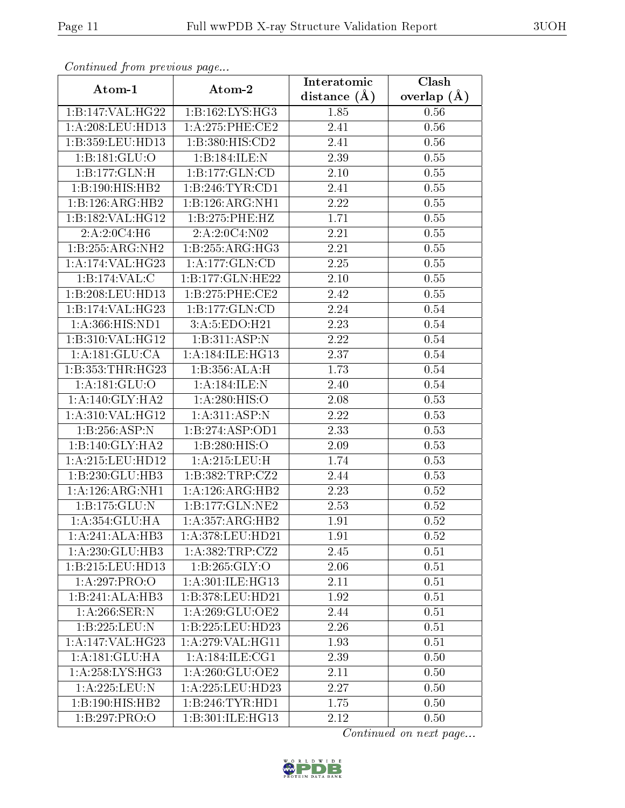| Continued from previous page |                              | Interatomic      | Clash         |  |
|------------------------------|------------------------------|------------------|---------------|--|
| Atom-1                       | Atom-2                       | distance $(\AA)$ | overlap $(A)$ |  |
| 1:B:147:VAL:HG22             | 1:B:162:LYS:HG3              | 1.85             | 0.56          |  |
| 1:A:208:LEU:HD13             | 1: A:275:PHE:CE2             | 2.41             | 0.56          |  |
| 1:B:359:LEU:HD13             | 1:B:380:HIS:CD2              | 2.41             | 0.56          |  |
| $1:B:181:\overline{GLU:O}$   | 1:B:184:ILE:N                | 2.39             | 0.55          |  |
| 1:B:177:GLN:H                | $1:B:177:\overline{GLN:CD}$  | 2.10             | 0.55          |  |
| 1:B:190:HIS:HB2              | 1:B:246:TYR:CD1              | 2.41             | 0.55          |  |
| 1:B:126:ARG:HB2              | 1:B:126:ARG:NH1              | 2.22             | 0.55          |  |
| 1:B:182:VAL:HG12             | 1:B:275:PHE:HZ               | 1.71             | $0.55\,$      |  |
| 2:A:2:0C4:H6                 | 2:A:2:0C4:N02                | 2.21             | $0.55\,$      |  |
| 1:B:255:ARG:NH2              | 1:B:255:ARG:HG3              | 2.21             | 0.55          |  |
| 1: A:174: VAL:HG23           | 1: A: 177: GLN: CD           | 2.25             | 0.55          |  |
| 1:B:174:VAL:C                | 1:B:177:GLN:HE22             | 2.10             | 0.55          |  |
| 1:B:208:LEU:HD13             | 1: B: 275: PHE: CE2          | 2.42             | 0.55          |  |
| 1:B:174:VAL:HG23             | 1:B:177:GLN:CD               | 2.24             | $0.54\,$      |  |
| 1:A:366:HIS:ND1              | 3:A:5:EDO:H21                | 2.23             | 0.54          |  |
| 1:B:310:VAL:HG12             | 1:B:311:ASP:N                | 2.22             | 0.54          |  |
| 1: A:181: GLU:CA             | 1: A:184: ILE: HG13          | 2.37             | 0.54          |  |
| 1:B:353:THR:HG23             | 1:B:356:ALA:H                | 1.73             | $0.54\,$      |  |
| 1: A: 181: GLU:O             | 1:A:184:ILE:N                | 2.40             | 0.54          |  |
| 1: A:140: GLY:HA2            | 1: A:280: HIS:O              | 2.08             | 0.53          |  |
| 1:A:310:VAL:HG12             | $1:A:311:$ ASP:N             | 2.22             | 0.53          |  |
| 1:B:256:ASP:N                | 1:B:274:ASP:OD1              | 2.33             | 0.53          |  |
| 1:B:140:GLY:HA2              | 1:B:280:HIS:O                | 2.09             | 0.53          |  |
| 1:A:215:LEU:HD12             | 1: A:215:LEU:H               | 1.74             | 0.53          |  |
| 1:B:230:GLU:HB3              | 1:B:382:TRP:CZ2              | 2.44             | 0.53          |  |
| 1: A:126: ARG: NH1           | $1:A:126:ARG:\overline{HB2}$ | 2.23             | 0.52          |  |
| 1:B:175:GLU:N                | 1:B:177:GLN:NE2              | 2.53             | 0.52          |  |
| 1:A:354:GLU:HA               | 1:A:357:ARG:HB2              | 1.91             | $0.52\,$      |  |
| 1:A:241:ALA:HB3              | 1:A:378:LEU:HD21             | 1.91             | 0.52          |  |
| 1:A:230:GLU:HB3              | 1:A:382:TRP:CZ2              | 2.45             | 0.51          |  |
| 1:B:215:LEU:HD13             | 1:B:265:GLY:O                | 2.06             | 0.51          |  |
| $1:A:297:PRO:\overline{O}$   | 1:A:301:ILE:HG13             | 2.11             | 0.51          |  |
| 1:B:241:ALA:HB3              | 1:B:378:LEU:HD21             | 1.92             | 0.51          |  |
| 1: A:266: SER: N             | 1: A:269: GLU:OE2            | 2.44             | 0.51          |  |
| 1:B:225:LEU:N                | 1:B:225:LEU:HD23             | 2.26             | 0.51          |  |
| 1:A:147:VAL:HG23             | 1: A:279: VAL:HGI1           | 1.93             | 0.51          |  |
| 1:A:181:GLU:HA               | 1: A:184: ILE: CG1           | 2.39             | 0.50          |  |
| 1: A:258: LYS: HG3           | 1: A:260: GLU:OE2            | 2.11             | 0.50          |  |
| 1:A:225:LEU:N                | 1: A: 225: LEU: HD23         | 2.27             | 0.50          |  |
| 1:B:190:HIS:HB2              | 1:B:246:TYR:HDI              | 1.75             | 0.50          |  |
| 1:B:297:PRO:O                | 1:B:301:ILE:HG13             | 2.12             | 0.50          |  |

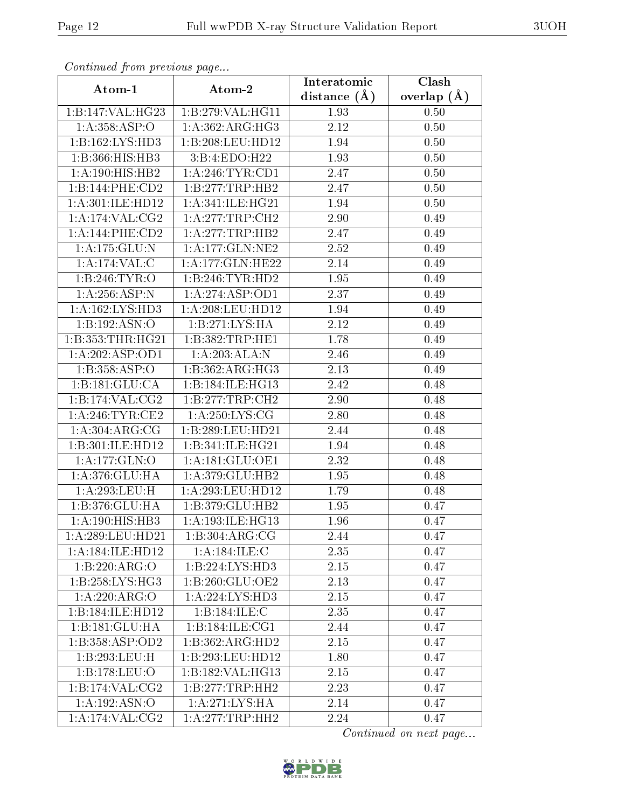| Continuea from previous page |                                | Interatomic      | Clash         |
|------------------------------|--------------------------------|------------------|---------------|
| Atom-1                       | Atom-2                         | distance $(\AA)$ | overlap $(A)$ |
| 1:B:147:VAL:HG23             | 1:B:279:VAL:HG11               | 1.93             | 0.50          |
| 1:A:358:ASP:O                | 1:A:362:ARG:HG3                | 2.12             | 0.50          |
| 1:B:162:LYS:HD3              | 1:B:208:LEU:HD12               | 1.94             | 0.50          |
| 1:B:366:HIS:HB3              | 3:B:4:EDO:H22                  | 1.93             | 0.50          |
| 1:A:190:HIS:HB2              | 1:A:246:TYR:CD1                | 2.47             | 0.50          |
| 1:B:144:PHE:CD2              | 1:B:277:TRP:HB2                | 2.47             | 0.50          |
| 1:A:301:ILE:HD12             | 1:A:341:ILE:HG21               | 1.94             | 0.50          |
| 1: A:174: VAL: CG2           | 1:A:277:TRP:CH2                | 2.90             | 0.49          |
| 1:A:144:PHE:CD2              | 1: A:277:TRP:HB2               | 2.47             | 0.49          |
| 1:A:175:GLU:N                | 1: A:177: GLN:NE2              | 2.52             | 0.49          |
| 1:A:174:VAL:CC               | 1: A:177: GLN: HE22            | 2.14             | 0.49          |
| 1:B:246:TYR:O                | 1:B:246:TYR:HD2                | 1.95             | 0.49          |
| 1:A:256:ASP:N                | 1:A:274:ASP:OD1                | 2.37             | 0.49          |
| 1:A:162:LYS:HD3              | 1:A:208:LEU:HD12               | 1.94             | 0.49          |
| 1:B:192:ASN:O                | 1:B:271:LYS:HA                 | 2.12             | 0.49          |
| 1:B:353:THR:HG21             | 1:B:382:TRP:HE1                | 1.78             | 0.49          |
| 1:A:202:ASP:OD1              | 1:A:203:ALA:N                  | 2.46             | 0.49          |
| 1:B:358:ASP:O                | 1:B:362:ARG:HG3                | 2.13             | 0.49          |
| 1:B:181:GLU:CA               | 1:B:184:ILE:HG13               | 2.42             | 0.48          |
| 1:B:174:VAL:CG2              | 1:B:277:TRP:CH2                | 2.90             | 0.48          |
| 1: A:246:TYR:CE2             | 1: A:250: LYS: CG              | 2.80             | 0.48          |
| 1: A: 304: ARG: CG           | 1:B:289:LEU:HD21               | 2.44             | 0.48          |
| 1:B:301:ILE:HD12             | 1:B:341:ILE:HG21               | 1.94             | 0.48          |
| 1:A:177:GLN:O                | $1: A:181: \overline{GLU:OE1}$ | 2.32             | 0.48          |
| 1:A:376:GLU:HA               | 1:A:379:GLU:HB2                | 1.95             | 0.48          |
| 1:A:293:LEU:H                | 1:A:293:LEU:HD12               | 1.79             | 0.48          |
| 1:B:376:GLU:HA               | 1:B:379:GLU:HB2                | 1.95             | 0.47          |
| 1: A: 190: HIS: HB3          | 1:A:193:ILE:HG13               | 1.96             | 0.47          |
| 1: A:289:LEU:HD21            | 1:B:304:ARG:CG                 | 2.44             | 0.47          |
| 1:A:184:ILE:HD12             | 1:A:184:ILE:C                  | 2.35             | 0.47          |
| 1:B:220:ARG:O                | 1:B:224:LYS:HD3                | 2.15             | 0.47          |
| 1:B:258:LYS:HG3              | 1:B:260:GLU:OE2                | 2.13             | 0.47          |
| 1:A:220:ARG:O                | 1: A: 224: LYS: HD3            | 2.15             | 0.47          |
| 1:B:184:ILE:HD12             | 1:B:184:ILE:C                  | 2.35             | 0.47          |
| 1:B:181:GLU:HA               | 1:B:184:ILE:CG1                | 2.44             | 0.47          |
| 1:B:358:ASP:OD2              | 1:B:362:ARG:HD2                | 2.15             | 0.47          |
| 1:B:293:LEU:H                | 1:B:293:LEU:HD12               | 1.80             | 0.47          |
| 1:B:178:LEU:O                | 1:B:182:VAL:HG13               | 2.15             | 0.47          |
| 1:B:174:VAL:CG2              | 1:B:277:TRP:HH2                | 2.23             | 0.47          |
| 1:A:192:ASN:O                | 1: A:271: LYS: HA              | 2.14             | 0.47          |
| 1:A:174:VAL:CG2              | 1: A:277:TRP:HH2               | 2.24             | 0.47          |

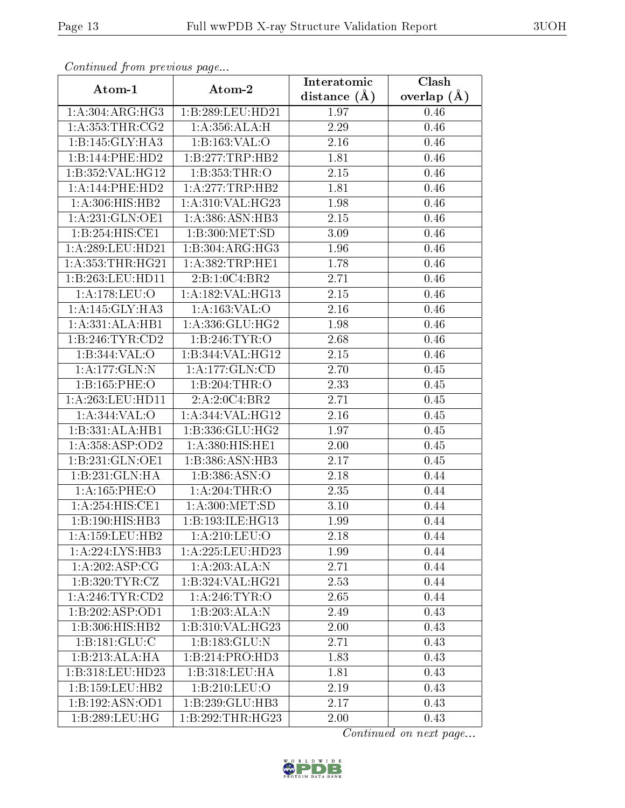| Continuea from previous page |                                    | Interatomic       | Clash         |
|------------------------------|------------------------------------|-------------------|---------------|
| Atom-1                       | Atom-2                             | distance $(A)$    | overlap $(A)$ |
| 1: A:304: ARG: HG3           | 1:B:289:LEU:HD21                   | 1.97              | 0.46          |
| 1: A: 353: THR: CG2          | 1: A: 356: ALA:H                   | 2.29              | 0.46          |
| 1:B:145:GLY:HA3              | 1:B:163:VAL:O                      | 2.16              | 0.46          |
| 1:B:144:PHE:HD2              | 1:B:277:TRP:HB2                    | 1.81              | 0.46          |
| 1:B:352:VAL:HG12             | 1: B: 353: THR:O                   | 2.15              | 0.46          |
| 1: A:144: PHE:HD2            | 1:A:277:TRP:HB2                    | 1.81              | 0.46          |
| 1:A:306:HIS:HB2              | 1:A:310:VAL:HG23                   | 1.98              | 0.46          |
| 1:A:231:GLN:OE1              | 1: A: 386: ASN: HB3                | 2.15              | 0.46          |
| 1:B:254:HIS:CE1              | 1:B:300:MET:SD                     | 3.09              | 0.46          |
| 1:A:289:LEU:HD21             | 1:B:304:ARG:HG3                    | 1.96              | 0.46          |
| 1: A: 353: THR: HG21         | 1: A: 382: TRP: HE1                | 1.78              | 0.46          |
| 1:B:263:LEU:HD11             | 2:B:1:0C4:BR2                      | 2.71              | 0.46          |
| 1: A:178: LEU:O              | $1:A:182:\overline{VAL}:HG13$      | 2.15              | 0.46          |
| 1:A:145:GLY:HA3              | 1:A:163:VAL:O                      | 2.16              | 0.46          |
| 1:A:331:ALA:HB1              | 1: A: 336: GLU: HG2                | 1.98              | 0.46          |
| 1:B:246:TYR:CD2              | 1:B:246:TYR:O                      | 2.68              | 0.46          |
| 1:B:344:VAL:O                | 1:B:344:VAL:HG12                   | 2.15              | 0.46          |
| 1:A:177:GLN:N                | 1: A: 177: GLN: CD                 | 2.70              | 0.45          |
| 1:B:165:PHE:O                | 1:B:204:THR:O                      | 2.33              | 0.45          |
| 1: A:263:LEU:HD11            | 2:A:2:0C4:BR2                      | 2.71              | $0.45\,$      |
| 1:A:344:VAL:O                | 1:A:344:VAL:HG12                   | 2.16              | 0.45          |
| 1:B:331:ALA:HB1              | 1:B:336:GLU:HG2                    | 1.97              | 0.45          |
| 1:A:358:ASP:OD2              | 1:A:380:HIS:HE1                    | 2.00              | 0.45          |
| 1:B:231:GLN:OE1              | 1:B:386:ASN:HB3                    | $\overline{2}.17$ | 0.45          |
| 1:B:231:GLN:HA               | 1:B:386:ASN:O                      | 2.18              | 0.44          |
| 1:A:165:PHE:O                | 1:A:204:THR:O                      | 2.35              | 0.44          |
| 1:A:254:HIS:CE1              | $1:\overline{A}:300:\text{MET:SD}$ | 3.10              | 0.44          |
| 1:B:190:HIS:HB3              | 1:B:193:ILE:HG13                   | 1.99              | 0.44          |
| 1: A: 159: LEU: HB2          | 1: A:210:LEU:O                     | 2.18              | 0.44          |
| 1: A:224: LYS: HB3           | 1:A:225:LEU:HD23                   | 1.99              | 0.44          |
| 1: A:202: ASP:CG             | 1:A:203:ALA:N                      | 2.71              | 0.44          |
| 1:B:320:TYR:CZ               | 1:B:324:VAL:HG21                   | 2.53              | 0.44          |
| 1: A:246:TYR:CD2             | 1: A:246:TYR:O                     | 2.65              | 0.44          |
| 1:B:202:ASP:OD1              | 1:B:203:ALA:N                      | 2.49              | 0.43          |
| 1:B:306:HIS:HB2              | 1:B:310:VAL:HG23                   | 2.00              | 0.43          |
| 1: B: 181: GLU: C            | 1:B:183:GLU:N                      | 2.71              | 0.43          |
| 1:B:213:ALA:HA               | 1:B:214:PRO:HD3                    | 1.83              | 0.43          |
| 1:B:318:LEU:HD23             | 1:B:318:LEU:HA                     | 1.81              | 0.43          |
| 1:B:159:LEU:HB2              | 1:B:210:LEU:O                      | 2.19              | 0.43          |
| 1:B:192:ASN:OD1              | 1:B:239:GLU:HB3                    | 2.17              | 0.43          |
| 1:B:289:LEU:HG               | 1:B:292:THR:HG23                   | 2.00              | 0.43          |

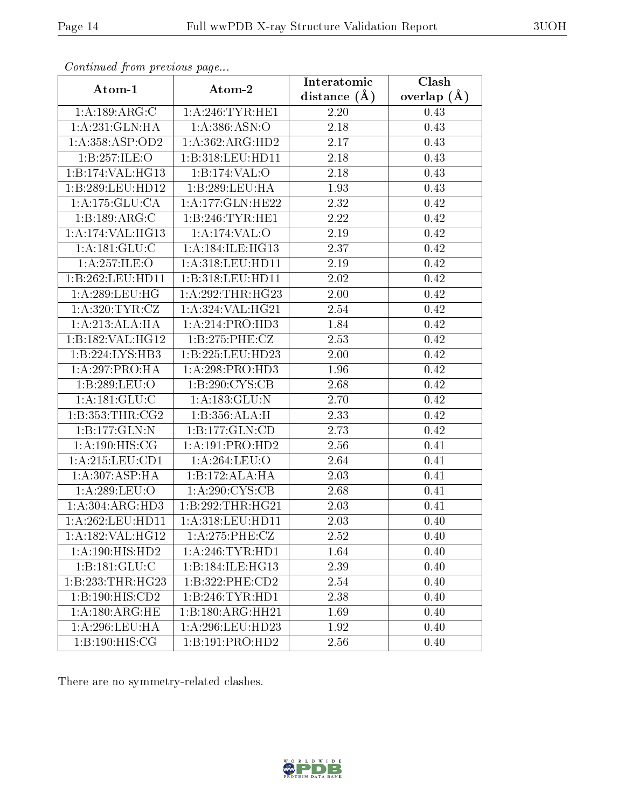| Continuatu from previous page       |                                      | Interatomic    | $\overline{\text{Clash}}$ |
|-------------------------------------|--------------------------------------|----------------|---------------------------|
| Atom-1                              | Atom-2                               | distance $(A)$ | overlap $(A)$             |
| 1:A:189:ARG:C                       | 1: A:246:TYR:HE1                     | 2.20           | 0.43                      |
| 1: A:231: GLN: HA                   | 1:A:386:ASN:O                        | 2.18           | 0.43                      |
| 1:A:358:ASP:OD2                     | 1:A:362:ARG:HD2                      | 2.17           | 0.43                      |
| 1:B:257:ILE:O                       | $1:B:318:LEU:H\overline{D11}$        | 2.18           | 0.43                      |
| 1:B:174:VAL:HG13                    | 1:B:174:VAL:O                        | 2.18           | 0.43                      |
| 1:B:289:LEU:HD12                    | 1:B:289:LEU:HA                       | 1.93           | 0.43                      |
| 1: A: 175: GLU: CA                  | 1:A:177:GLN:HE22                     | 2.32           | 0.42                      |
| 1:B:189:ARG:C                       | 1:B:246:TYR:HE1                      | 2.22           | 0.42                      |
| 1:A:174:VAL:HG13                    | 1:A:174:VAL:O                        | 2.19           | 0.42                      |
| 1: A:181: GLU: C                    | 1:A:184:ILE:HG13                     | 2.37           | 0.42                      |
| 1: A:257: ILE:O                     | 1:A:318:LEU:HD11                     | 2.19           | 0.42                      |
| 1:B:262:LEU:HD11                    | 1:B:318:LEU:HD11                     | 2.02           | 0.42                      |
| 1:A:289:LEU:HG                      | 1:A:292:THR:HG23                     | 2.00           | 0.42                      |
| 1: A:320: TYR: CZ                   | 1:A:324:VAL:HG21                     | 2.54           | 0.42                      |
| 1:A:213:ALA:HA                      | 1:A:214:PRO:HD3                      | 1.84           | 0.42                      |
| 1:B:182:VAL:HG12                    | 1:B:275:PHE:CZ                       | 2.53           | 0.42                      |
| $1:B:224:\overline{\text{LYS:HB3}}$ | 1:B:225:LEU:HD23                     | 2.00           | 0.42                      |
| 1:A:297:PRO:HA                      | 1:A:298:PRO:HD3                      | 1.96           | 0.42                      |
| 1:B:289:LEU:O                       | $1: B:290: \overline{\text{CYS:CB}}$ | 2.68           | 0.42                      |
| 1:A:181:GLU:C                       | 1:A:183:GLU:N                        | 2.70           | 0.42                      |
| 1: B: 353: THR: CG2                 | 1:B:356:ALA:H                        | 2.33           | 0.42                      |
| 1:B:177:GLN:N                       | 1:B:177:GLN:CD                       | 2.73           | 0.42                      |
| 1: A: 190: HIS: CG                  | 1:A:191:PRO:HD2                      | 2.56           | 0.41                      |
| 1:A:215:LEU:CD1                     | 1: A:264:LEU:O                       | 2.64           | 0.41                      |
| 1: A:307: ASP:HA                    | 1:B:172:ALA:HA                       | 2.03           | 0.41                      |
| 1:A:289:LEU:O                       | 1: A:290:CYS:CB                      | 2.68           | 0.41                      |
| 1: A: 304: ARG: HD3                 | 1:B:292:THR:HG21                     | 2.03           | 0.41                      |
| 1: A:262:LEU:HD11                   | $1: A:318:$ LEU:HD11                 | 2.03           | 0.40                      |
| 1:A:182:VAL:HG12                    | 1: A:275:PHE:CZ                      | 2.52           | 0.40                      |
| 1:A:190:HIS:HD2                     | 1: A:246:TYR:HD1                     | 1.64           | 0.40                      |
| $1:B:181:\overline{\text{GLU:C}}$   | 1:B:184:ILE:HG13                     | 2.39           | 0.40                      |
| 1:B:233:THR:HG23                    | 1:B:322:PHE:CD2                      | 2.54           | 0.40                      |
| $1:B:190:H1\overline{S:CD2}$        | 1:B:246:TYR:HD1                      | 2.38           | 0.40                      |
| 1: A:180:ARG:HE                     | 1:B:180:ARG:HH21                     | 1.69           | 0.40                      |
| 1: A:296:LEU:HA                     | 1: A:296:LEU:HD23                    | 1.92           | 0.40                      |
| 1:B:190:HIS:CG                      | 1:B:191:PRO:HD2                      | 2.56           | 0.40                      |

There are no symmetry-related clashes.

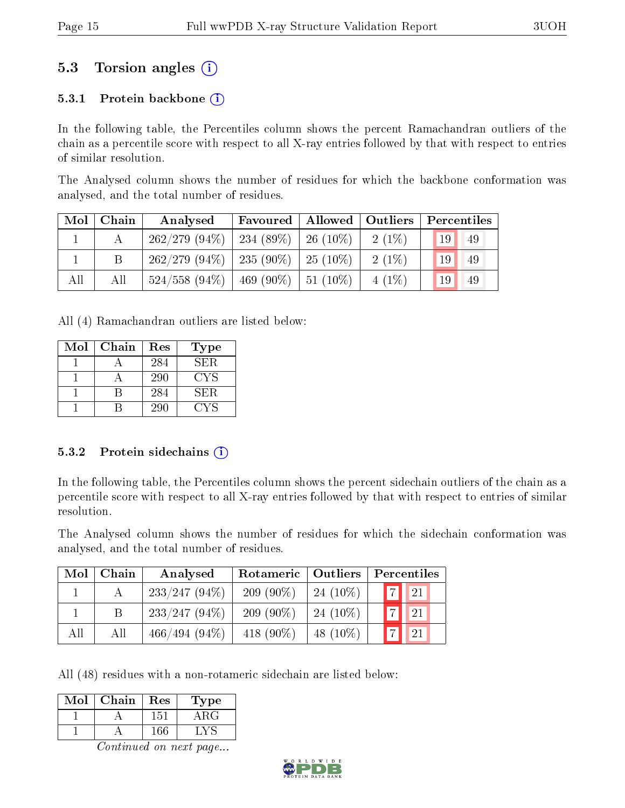### 5.3 Torsion angles (i)

#### 5.3.1 Protein backbone  $(i)$

In the following table, the Percentiles column shows the percent Ramachandran outliers of the chain as a percentile score with respect to all X-ray entries followed by that with respect to entries of similar resolution.

The Analysed column shows the number of residues for which the backbone conformation was analysed, and the total number of residues.

| $\text{Mol}$ | Chain | Analysed                                  | Favoured   Allowed   Outliers |  |          | Percentiles |    |
|--------------|-------|-------------------------------------------|-------------------------------|--|----------|-------------|----|
|              |       | $262/279$ (94\%)   234 (89\%)   26 (10\%) |                               |  | $2(1\%)$ | 19          | 49 |
|              |       | $262/279$ (94\%)   235 (90\%)   25 (10\%) |                               |  | $2(1\%)$ | 19          | 49 |
| All          | All   | $524/558$ (94\%)   469 (90\%)   51 (10\%) |                               |  | $4(1\%)$ | 19          | 49 |

All (4) Ramachandran outliers are listed below:

| Mol | Chain | Res | Type |
|-----|-------|-----|------|
|     |       | 284 | SER. |
|     |       | 290 | CYS  |
|     |       | 284 | SER. |
|     |       | 290 |      |

#### 5.3.2 Protein sidechains  $(i)$

In the following table, the Percentiles column shows the percent sidechain outliers of the chain as a percentile score with respect to all X-ray entries followed by that with respect to entries of similar resolution.

The Analysed column shows the number of residues for which the sidechain conformation was analysed, and the total number of residues.

| Mol | Chain | Analysed        | Rotameric   Outliers |             | Percentiles    |                |
|-----|-------|-----------------|----------------------|-------------|----------------|----------------|
|     |       | $233/247(94\%)$ | $209(90\%)$          | $24(10\%)$  | $ \mathbf{7} $ | $\parallel$ 21 |
|     |       | $233/247(94\%)$ | $209(90\%)$          | $24(10\%)$  | 7 <sub>1</sub> | 21             |
| All | All   | $466/494(94\%)$ | 418 $(90\%)$         | 48 $(10\%)$ | $\overline{7}$ | <b>21</b>      |

All (48) residues with a non-rotameric sidechain are listed below:

| Mol | Chain | Res | L'ype |
|-----|-------|-----|-------|
|     |       | 151 | A R.G |
|     |       | 166 |       |

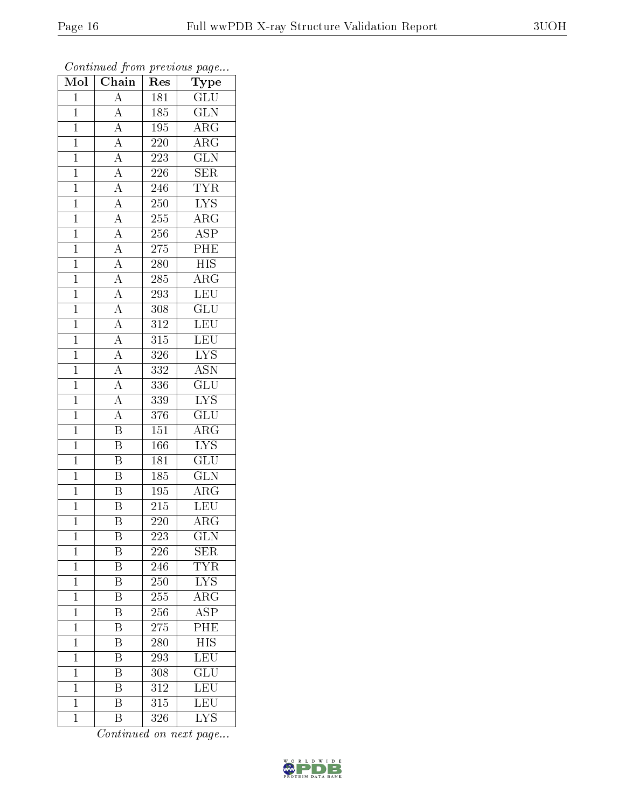| Mol            | $\overline{\text{Chain}}$                                                                                                                       | Res              | ${\bf Type}$              |
|----------------|-------------------------------------------------------------------------------------------------------------------------------------------------|------------------|---------------------------|
| $\mathbf{1}$   | $\overline{A}$                                                                                                                                  | 181              | GLU                       |
| $\overline{1}$ | $\overline{A}$                                                                                                                                  | 185              | $\overline{\text{GLN}}$   |
| $\mathbf{1}$   | $\frac{\overline{A}}{\overline{A}}$                                                                                                             | 195              | $\overline{\rm{ARG}}$     |
| $\mathbf{1}$   |                                                                                                                                                 | 220              | $\overline{\rm{ARG}}$     |
| $\overline{1}$ | $\frac{\overline{A}}{\overline{A}}$ $\frac{\overline{A}}{\overline{A}}$                                                                         | $\overline{223}$ | $\overline{\text{GLN}}$   |
| $\mathbf{1}$   |                                                                                                                                                 | 226              | <b>SER</b>                |
| $\overline{1}$ |                                                                                                                                                 | 246              | <b>TYR</b>                |
| $\overline{1}$ |                                                                                                                                                 | 250              | $\overline{LYS}$          |
| $\mathbf{1}$   |                                                                                                                                                 | 255              | $\overline{\text{ARG}}$   |
| $\overline{1}$ |                                                                                                                                                 | 256              | $\overline{\text{ASP}}$   |
| $\overline{1}$ |                                                                                                                                                 | 275              | PHE                       |
| $\overline{1}$ |                                                                                                                                                 | 280              | $\overline{HIS}$          |
| $\overline{1}$ |                                                                                                                                                 | 285              | $\overline{\rm{ARG}}$     |
| $\mathbf{1}$   | $\frac{\overline{A}}{\overline{A}}$ $\frac{\overline{A}}{\overline{A}}$ $\frac{\overline{A}}{\overline{A}}$ $\frac{\overline{A}}{\overline{A}}$ | 293              | LEU                       |
| $\overline{1}$ |                                                                                                                                                 | 308              | $\overline{\text{GLU}}$   |
| $\mathbf{1}$   |                                                                                                                                                 | 312              | $\overline{\text{LEU}}$   |
| $\overline{1}$ |                                                                                                                                                 | $\overline{315}$ | LEU                       |
| $\overline{1}$ | $\frac{\overline{A}}{\overline{A}}$                                                                                                             | 326              | <b>LYS</b>                |
| $\overline{1}$ |                                                                                                                                                 | 332              | $\overline{\text{ASN}}$   |
| $\mathbf{1}$   | $\frac{\overline{A}}{A}$                                                                                                                        | 336              | $\overline{\text{GLU}}$   |
| $\overline{1}$ |                                                                                                                                                 | 339              | $\overline{\text{LYS}}$   |
| $\overline{1}$ | $\overline{A}$                                                                                                                                  | 376              | $\overline{\text{GLU}}$   |
| $\mathbf{1}$   | $\overline{\mathrm{B}}$                                                                                                                         | 151              | $\overline{\rm{ARG}}$     |
| $\overline{1}$ | $\overline{\mathbf{B}}$                                                                                                                         | 166              | $\overline{\text{LYS}}$   |
| $\mathbf{1}$   | $\overline{\mathrm{B}}$                                                                                                                         | 181              | $\overline{\text{GLU}}$   |
| $\overline{1}$ | $\overline{\mathrm{B}}$                                                                                                                         | 185              | $\overline{\text{GLN}}$   |
| $\overline{1}$ | $\overline{\mathrm{B}}$                                                                                                                         | 195              | $\overline{\rm{ARG}}$     |
| $\mathbf{1}$   | $\overline{B}$                                                                                                                                  | 215              | LEU                       |
| $\mathbf{1}$   | $\overline{\mathrm{B}}$                                                                                                                         | 220              | $\overline{\rm{ARG}}$     |
| $\mathbf{1}$   | Β                                                                                                                                               | 223              | $\overline{\text{GLN}}$   |
| $\mathbf{1}$   | Β                                                                                                                                               | 226              | <b>SER</b>                |
| $\mathbf{1}$   | $\overline{\mathrm{B}}$                                                                                                                         | $2\bar{46}$      | <b>TYR</b>                |
| $\mathbf{1}$   | Β                                                                                                                                               | 250              | ${\rm LYS}$               |
| $\mathbf{1}$   | $\overline{\mathrm{B}}$                                                                                                                         | 255              | $\overline{\rm ARG}$      |
| $\mathbf{1}$   | B                                                                                                                                               | 256              | $\overline{\rm ASP}$      |
| $\overline{1}$ | $\overline{\mathrm{B}}$                                                                                                                         | 275              | $\overline{\mathrm{PHE}}$ |
| $\mathbf{1}$   | Β                                                                                                                                               | 280              | <b>HIS</b>                |
| $\mathbf 1$    | $\overline{\rm B}$                                                                                                                              | 293              | $\overline{\text{LEU}}$   |
| $\mathbf{1}$   | Β                                                                                                                                               | 308              | $\overline{{\rm GLU}}$    |
| $\mathbf{1}$   | Β                                                                                                                                               | 312              | LEU                       |
| $\overline{1}$ | $\overline{\mathrm{B}}$                                                                                                                         | 315              | LEU                       |
| $\mathbf{1}$   | $\overline{B}$                                                                                                                                  | 326              | <b>LYS</b>                |

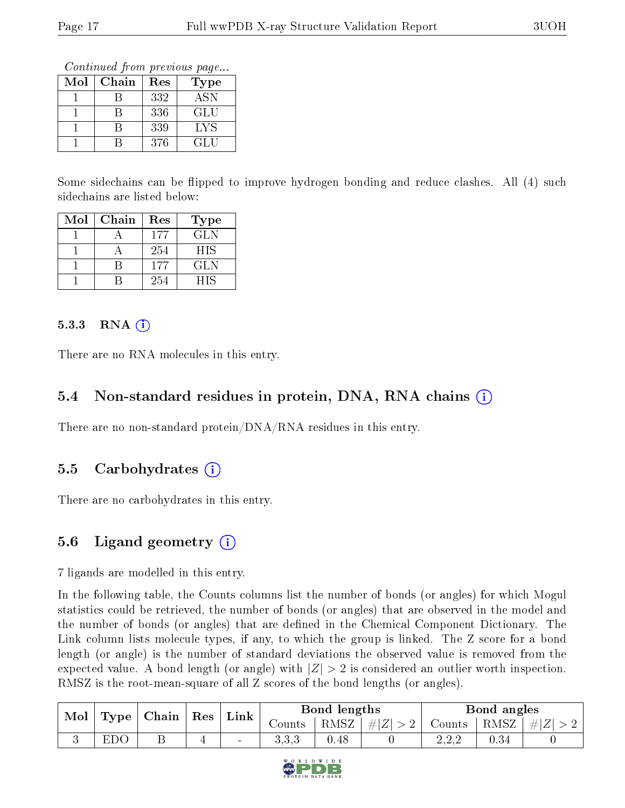Continued from previous page...

| $\operatorname{Mol}$ | Chain | Res | Type       |
|----------------------|-------|-----|------------|
|                      |       | 332 | <b>ASN</b> |
|                      |       | 336 | GLU        |
|                      |       | 339 | <b>LYS</b> |
|                      |       | 376 | GLU        |

Some sidechains can be flipped to improve hydrogen bonding and reduce clashes. All (4) such sidechains are listed below:

| Mol | Chain | Res | Type       |
|-----|-------|-----|------------|
|     |       | 177 | GL N       |
|     |       | 254 | <b>HIS</b> |
|     |       | 177 | GL N       |
|     |       | 254 | НIS        |

#### 5.3.3 RNA  $(i)$

There are no RNA molecules in this entry.

#### 5.4 Non-standard residues in protein, DNA, RNA chains  $(i)$

There are no non-standard protein/DNA/RNA residues in this entry.

#### 5.5 Carbohydrates  $(i)$

There are no carbohydrates in this entry.

### 5.6 Ligand geometry (i)

7 ligands are modelled in this entry.

In the following table, the Counts columns list the number of bonds (or angles) for which Mogul statistics could be retrieved, the number of bonds (or angles) that are observed in the model and the number of bonds (or angles) that are defined in the Chemical Component Dictionary. The Link column lists molecule types, if any, to which the group is linked. The Z score for a bond length (or angle) is the number of standard deviations the observed value is removed from the expected value. A bond length (or angle) with  $|Z| > 2$  is considered an outlier worth inspection. RMSZ is the root-mean-square of all Z scores of the bond lengths (or angles).

| Mol | $\mid$ Type $\mid$ Chain $\mid$ Res $\mid$ | ${\rm Link}$ | Bond lengths             |        |      | Bond angles |        |      |    |
|-----|--------------------------------------------|--------------|--------------------------|--------|------|-------------|--------|------|----|
|     |                                            |              |                          | Counts | RMSZ | #Z  > 2     | Counts | RMSZ | #Z |
|     | EDC                                        |              | $\overline{\phantom{a}}$ | ാ.ാ.ാ  | 0.48 |             | າ າ າ  | 0.34 |    |

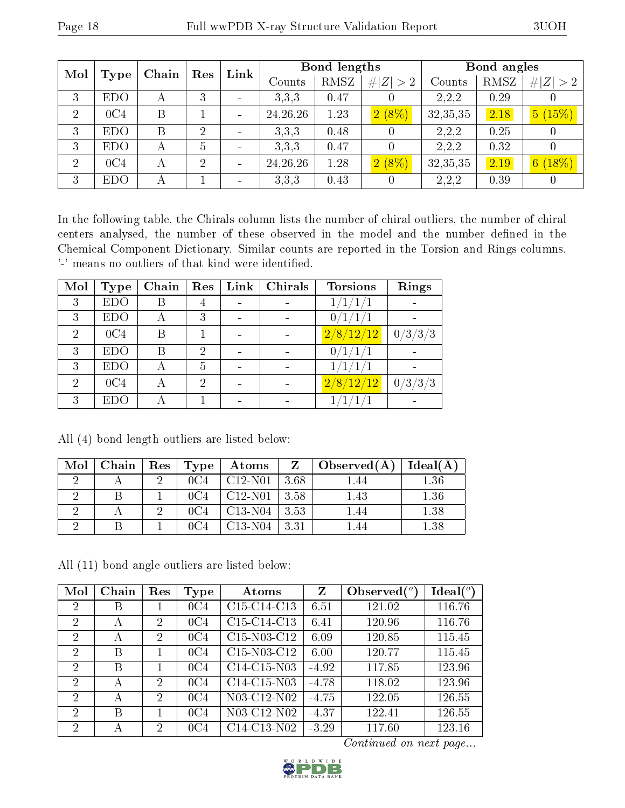| Mol            |                 | Chain | Res            | Link |            | Bond lengths |          |            | Bond angles |             |
|----------------|-----------------|-------|----------------|------|------------|--------------|----------|------------|-------------|-------------|
|                | Type            |       |                |      | Counts     | RMSZ         | Z  > 2   | Counts     | RMSZ        | # $ Z  > 2$ |
| 3              | <b>EDO</b>      | А     | 3              |      | 3.3.3      | 0.47         | $\theta$ | 2,2,2      | 0.29        | 0           |
| $\overline{2}$ | 0C <sub>4</sub> | B     |                |      | 24, 26, 26 | 1.23         | $2(8\%)$ | 32, 35, 35 | 2.18        | 5(15%)      |
| 3              | <b>EDO</b>      | B     | $\overline{2}$ |      | 3.3.3      | 0.48         | 0        | 2,2,2      | 0.25        | U           |
| 3              | <b>EDO</b>      | А     | 5              |      | 3.3.3      | 0.47         | 0        | 2,2,2      | 0.32        | 0           |
| $\overline{2}$ | 0C <sub>4</sub> | А     | $\overline{2}$ |      | 24, 26, 26 | 1.28         | $2(8\%)$ | 32,35,35   | 2.19        | 6(18%)      |
| 3              | <b>EDO</b>      | А     |                |      | 3.3.3      | 0.43         | 0        | 2,2,2      | 0.39        | $\theta$    |

In the following table, the Chirals column lists the number of chiral outliers, the number of chiral centers analysed, the number of these observed in the model and the number defined in the Chemical Component Dictionary. Similar counts are reported in the Torsion and Rings columns. '-' means no outliers of that kind were identified.

| Mol            | <b>Type</b> | Chain | Res            | Link | <b>Chirals</b> | <b>Torsions</b>             | Rings   |
|----------------|-------------|-------|----------------|------|----------------|-----------------------------|---------|
| 3              | <b>EDO</b>  | В     | 4              |      |                |                             |         |
| 3              | <b>EDO</b>  | А     | 3              |      |                |                             |         |
| $\overline{2}$ | 0C4         | В     |                |      |                | $\lfloor 2/8/12/12 \rfloor$ | 0/3/3/3 |
| 3              | <b>EDO</b>  | В     | $\overline{2}$ |      |                |                             |         |
| 3              | <b>EDO</b>  | А     | 5              |      |                |                             |         |
| $\overline{2}$ | 0C4         | А     | 2              |      |                | 2/8/12/12                   | 0/3/3/3 |
| 3              | EDO         |       |                |      |                |                             |         |

All (4) bond length outliers are listed below:

| Mol | Chain | $\parallel$ Res $\parallel$ Type | Atoms     |      | $\Delta$ Observed $(A)$ | Ideal(A) |
|-----|-------|----------------------------------|-----------|------|-------------------------|----------|
|     |       | 0C4                              | $C12-N01$ | 3.68 | 1.44                    | 1.36     |
|     |       | 0C4                              | $C12-N01$ | 3.58 | 1.43                    | 1.36     |
|     |       |                                  | $C13-N04$ | 3.53 | 1.44                    | 1.38     |
|     |       |                                  | C13-N04   | 3.31 | -44                     | $1.38\,$ |

All (11) bond angle outliers are listed below:

| Mol                         | Chain        | Res                         | Type            | Atoms                                             | Z       | Observed $(°)$ | Ideal $(^\circ)$ |
|-----------------------------|--------------|-----------------------------|-----------------|---------------------------------------------------|---------|----------------|------------------|
| 2                           | B            |                             | 0C <sub>4</sub> | C <sub>15</sub> -C <sub>14</sub> -C <sub>13</sub> | 6.51    | 121.02         | 116.76           |
| 2                           | А            | 2                           | 0C <sub>4</sub> | C <sub>15</sub> -C <sub>14</sub> -C <sub>13</sub> | 6.41    | 120.96         | 116.76           |
| -2                          | А            | $\mathcal{D}_{\mathcal{L}}$ | 0C <sub>4</sub> | C15-N03-C12                                       | 6.09    | 120.85         | 115.45           |
| $\overline{2}$              | B            |                             | 0C <sub>4</sub> | $C15-N03-C12$                                     | 6.00    | 120.77         | 115.45           |
| 2                           | B            |                             | 0C <sub>4</sub> | $C14-C15-N03$                                     | $-4.92$ | 117.85         | 123.96           |
| $\mathcal{D}_{\mathcal{A}}$ | $\mathsf{A}$ | $\mathcal{D}_{\mathcal{A}}$ | 0C <sub>4</sub> | C14-C15-N03                                       | $-4.78$ | 118.02         | 123.96           |
| -2                          | А            | 2                           | 0C <sub>4</sub> | N03-C12-N02                                       | $-4.75$ | 122.05         | 126.55           |
| -2                          | B            |                             | 0C <sub>4</sub> | N03-C12-N02                                       | $-4.37$ | 122.41         | 126.55           |
| 2                           | А            | $\overline{2}$              | 0C <sub>4</sub> | C14-C13-N02                                       | $-3.29$ | 117.60         | 123.16           |

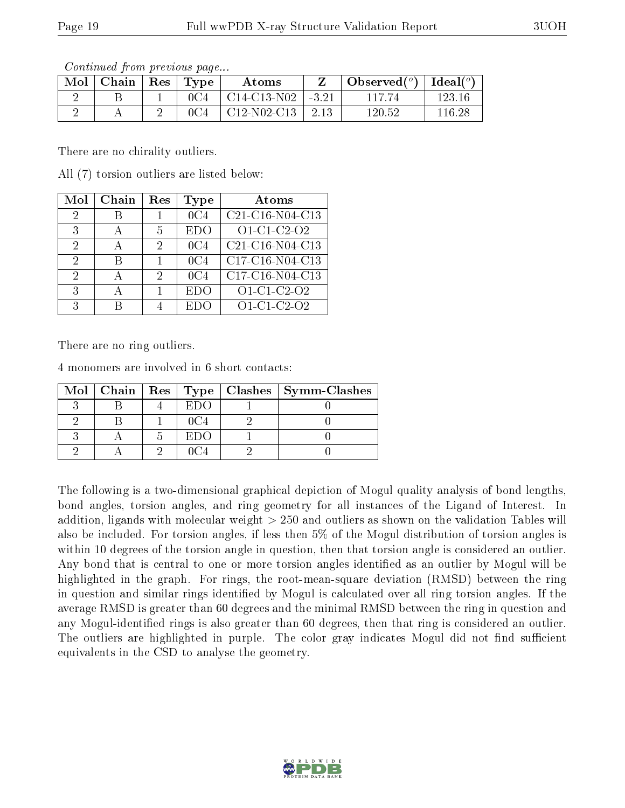| <u>oo issanad oo jigiisha jirooso doo jigaan</u><br>$\text{Mol}$   Chain   Res   Type |  | Atoms                          |      | $\bullet$ Observed( $^o$ )   Ideal( $^o$ ) |        |
|---------------------------------------------------------------------------------------|--|--------------------------------|------|--------------------------------------------|--------|
|                                                                                       |  | $^{\circ}$ C14-C13-N02   -3.21 |      | 117 74                                     | 123 16 |
|                                                                                       |  | $\mid$ C12-N02-C13 $\mid$      | 2.13 | 120.52                                     | 116 28 |

There are no chirality outliers.

All (7) torsion outliers are listed below:

| Mol | Chain | Res | Type            | Atoms                                |
|-----|-------|-----|-----------------|--------------------------------------|
| 2   |       |     | 0C4             | $\overline{\text{C2}}$ 1-C16-N04-C13 |
| 3   |       | 5   | EDO             | O1-C1-C2-O2                          |
| 2   |       | 2   | 0C <sub>4</sub> | $\overline{\text{C21-C16-N04-C13}}$  |
| 2   |       |     | 0C <sub>4</sub> | C17-C16-N04-C13                      |
| 2   |       | 2   | 0C4             | C17-C16-N04-C13                      |
| 3   |       |     | EDO             | $O1$ -C1-C2-O2                       |
| 2   |       |     | EDC             | O1-C1-C2-O2                          |

There are no ring outliers.

4 monomers are involved in 6 short contacts:

|  |        | Mol   Chain   Res   Type   Clashes   Symm-Clashes |
|--|--------|---------------------------------------------------|
|  |        |                                                   |
|  |        |                                                   |
|  | -EL)() |                                                   |
|  |        |                                                   |

The following is a two-dimensional graphical depiction of Mogul quality analysis of bond lengths, bond angles, torsion angles, and ring geometry for all instances of the Ligand of Interest. In addition, ligands with molecular weight > 250 and outliers as shown on the validation Tables will also be included. For torsion angles, if less then 5% of the Mogul distribution of torsion angles is within 10 degrees of the torsion angle in question, then that torsion angle is considered an outlier. Any bond that is central to one or more torsion angles identified as an outlier by Mogul will be highlighted in the graph. For rings, the root-mean-square deviation (RMSD) between the ring in question and similar rings identified by Mogul is calculated over all ring torsion angles. If the average RMSD is greater than 60 degrees and the minimal RMSD between the ring in question and any Mogul-identified rings is also greater than 60 degrees, then that ring is considered an outlier. The outliers are highlighted in purple. The color gray indicates Mogul did not find sufficient equivalents in the CSD to analyse the geometry.

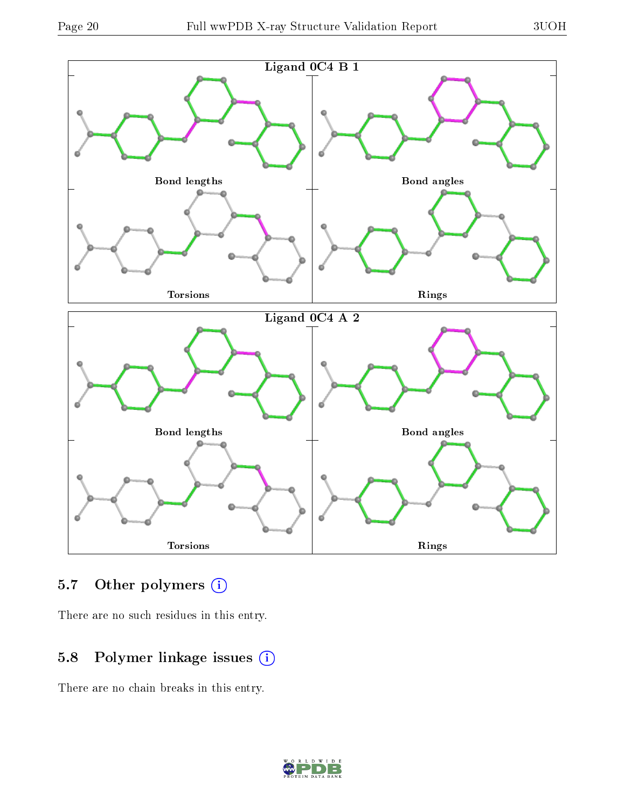

### 5.7 [O](https://www.wwpdb.org/validation/2017/XrayValidationReportHelp#nonstandard_residues_and_ligands)ther polymers (i)

There are no such residues in this entry.

### 5.8 Polymer linkage issues (i)

There are no chain breaks in this entry.

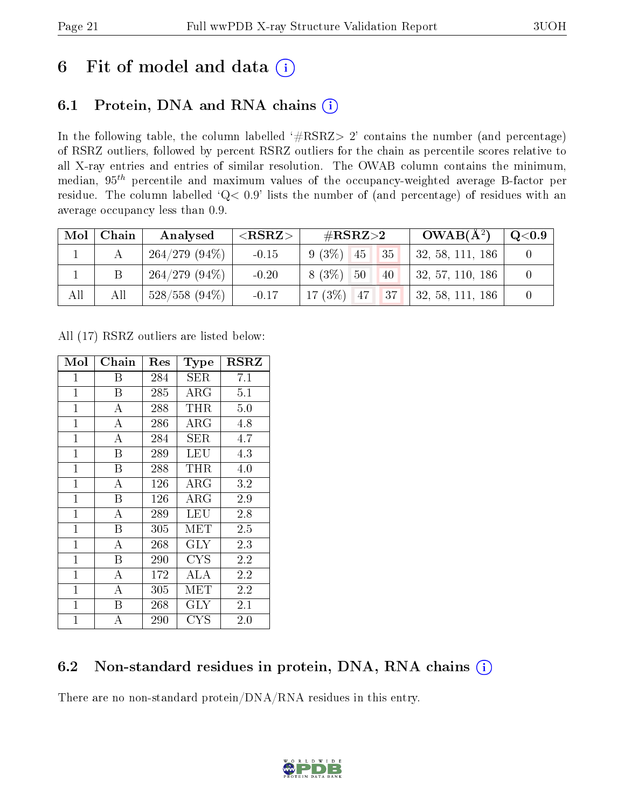# 6 Fit of model and data  $(i)$

## 6.1 Protein, DNA and RNA chains  $(i)$

In the following table, the column labelled  $#RSRZ> 2'$  contains the number (and percentage) of RSRZ outliers, followed by percent RSRZ outliers for the chain as percentile scores relative to all X-ray entries and entries of similar resolution. The OWAB column contains the minimum, median,  $95<sup>th</sup>$  percentile and maximum values of the occupancy-weighted average B-factor per residue. The column labelled ' $Q< 0.9$ ' lists the number of (and percentage) of residues with an average occupancy less than 0.9.

| Mol | Chain | Analysed         | $<$ RSRZ $>$ | # $RSRZ>2$           | $OWAB(A^2)$      | $\rm Q\textcolor{black}{<}0.9$ |
|-----|-------|------------------|--------------|----------------------|------------------|--------------------------------|
|     |       | $264/279(94\%)$  | $-0.15$      | $9(3\%)$<br>35<br>45 | 32, 58, 111, 186 |                                |
|     |       | $264/279(94\%)$  | $-0.20$      | $8(3\%)$<br>50<br>40 | 32, 57, 110, 186 |                                |
| All | All   | $528/558$ (94\%) | $-0.17$      | $17(3\%)$ 47<br> 37  | 32, 58, 111, 186 |                                |

All (17) RSRZ outliers are listed below:

| Mol          | ${\rm Chain}$      | Res | Type        | $_{\rm RSRZ}$ |
|--------------|--------------------|-----|-------------|---------------|
| $\mathbf{1}$ | Β                  | 284 | SER         | 7.1           |
| $\mathbf{1}$ | B                  | 285 | $\rm{ARG}$  | 5.1           |
| $\mathbf{1}$ | $\overline{\rm A}$ | 288 | THR         | 5.0           |
| $\mathbf{1}$ | $\overline{A}$     | 286 | $\rm{ARG}$  | 4.8           |
| $\mathbf{1}$ | А                  | 284 | ${\rm SER}$ | 4.7           |
| $\mathbf{1}$ | B                  | 289 | LEU         | 4.3           |
| $\mathbf{1}$ | B                  | 288 | THR         | 4.0           |
| $\mathbf{1}$ | $\bf{A}$           | 126 | ${\rm ARG}$ | 3.2           |
| $\mathbf{1}$ | Β                  | 126 | $\rm{ARG}$  | 2.9           |
| $\mathbf{1}$ | А                  | 289 | LEU         | 2.8           |
| $\mathbf{1}$ | B                  | 305 | MET         | 2.5           |
| $\mathbf{1}$ | $\overline{\rm A}$ | 268 | <b>GLY</b>  | 2.3           |
| $\mathbf{1}$ | B                  | 290 | CYS         | 2.2           |
| $\mathbf{1}$ | $\bf{A}$           | 172 | ALA         | 2.2           |
| $\mathbf{1}$ | $\boldsymbol{A}$   | 305 | MET         | 2.2           |
| $\mathbf 1$  | Β                  | 268 | $\rm GLY$   | 2.1           |
| $\mathbf{1}$ | Α                  | 290 | CYS         | 2.0           |

### 6.2 Non-standard residues in protein, DNA, RNA chains  $(i)$

There are no non-standard protein/DNA/RNA residues in this entry.

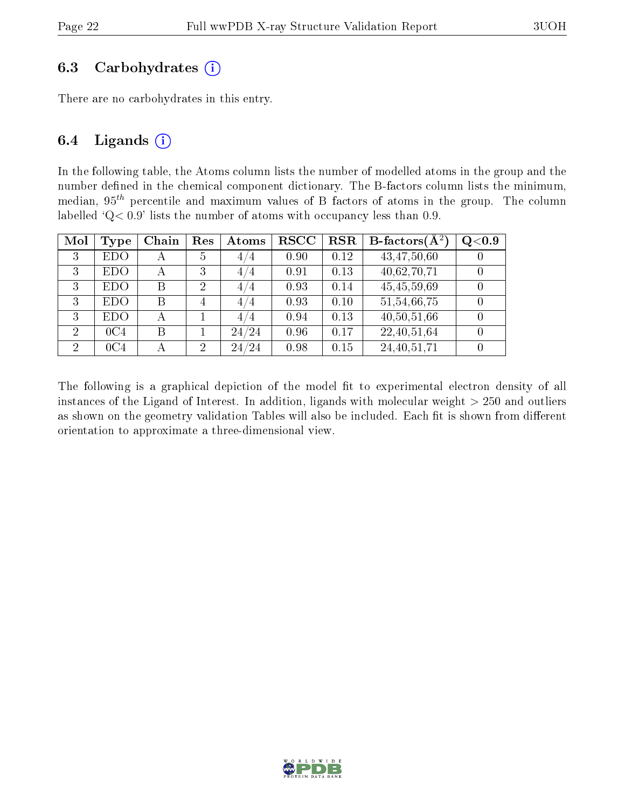#### 6.3 Carbohydrates  $(i)$

There are no carbohydrates in this entry.

#### 6.4 Ligands  $(i)$

In the following table, the Atoms column lists the number of modelled atoms in the group and the number defined in the chemical component dictionary. The B-factors column lists the minimum, median,  $95<sup>th</sup>$  percentile and maximum values of B factors of atoms in the group. The column labelled ' $Q< 0.9$ ' lists the number of atoms with occupancy less than 0.9.

| Mol            | Type            | Chain | Res            | Atoms | $_{\rm RSCC}$ | <b>RSR</b> | <b>B</b> -factors $\overline{(\mathbf{A}^2)}$ | Q <sub>0.9</sub> |
|----------------|-----------------|-------|----------------|-------|---------------|------------|-----------------------------------------------|------------------|
| 3              | <b>EDO</b>      | А     | 5              | 4/4   | 0.90          | 0.12       | 43,47,50,60                                   |                  |
| 3              | <b>EDO</b>      | А     | 3              | 4/4   | 0.91          | 0.13       | 40,62,70,71                                   |                  |
| 3              | EDO             | В     | $\overline{2}$ | 4/4   | 0.93          | 0.14       | 45,45,59,69                                   |                  |
| 3              | <b>EDO</b>      | В     | 4              | 4/4   | 0.93          | 0.10       | 51,54,66,75                                   |                  |
| 3              | <b>EDO</b>      | А     |                | 4/4   | 0.94          | 0.13       | 40,50,51,66                                   |                  |
| $\overline{2}$ | 0C4             | B     |                | 24/24 | 0.96          | 0.17       | 22,40,51,64                                   |                  |
| 2              | 0C <sub>4</sub> |       | $\overline{2}$ | 24/24 | 0.98          | 0.15       | 24, 40, 51, 71                                |                  |

The following is a graphical depiction of the model fit to experimental electron density of all instances of the Ligand of Interest. In addition, ligands with molecular weight  $> 250$  and outliers as shown on the geometry validation Tables will also be included. Each fit is shown from different orientation to approximate a three-dimensional view.

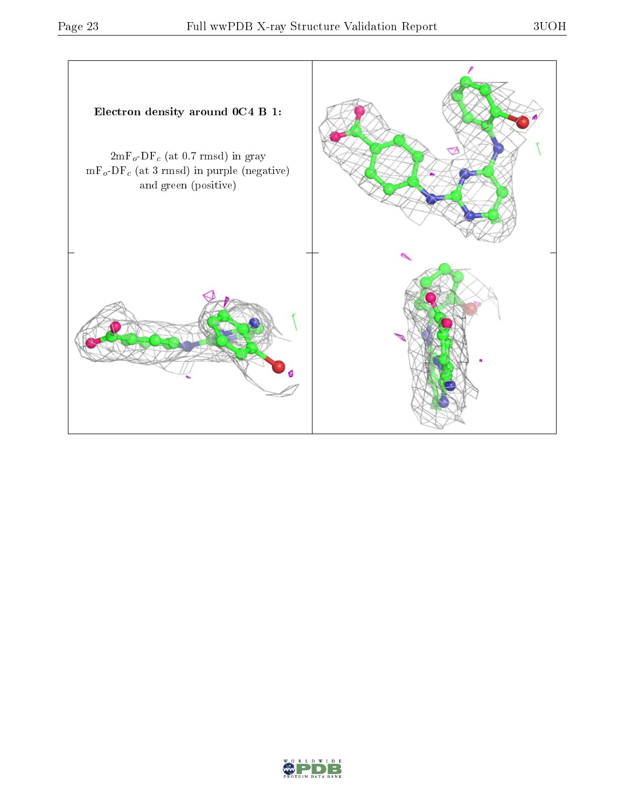